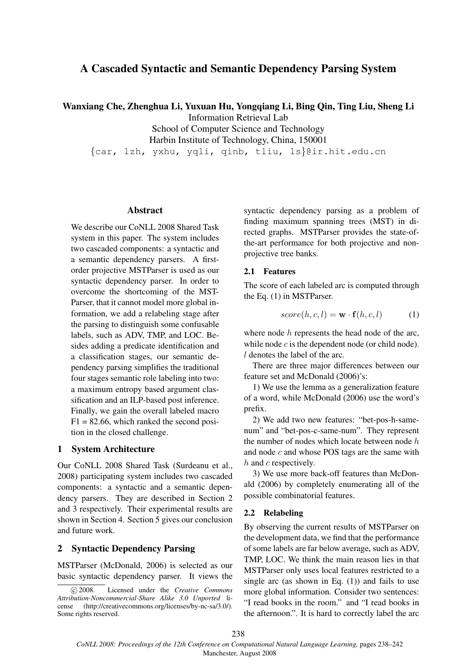# A Cascaded Syntactic and Semantic Dependency Parsing System

Wanxiang Che, Zhenghua Li, Yuxuan Hu, Yongqiang Li, Bing Qin, Ting Liu, Sheng Li

Information Retrieval Lab

School of Computer Science and Technology

Harbin Institute of Technology, China, 150001

{car, lzh, yxhu, yqli, qinb, tliu, ls}@ir.hit.edu.cn

#### Abstract

We describe our CoNLL 2008 Shared Task system in this paper. The system includes two cascaded components: a syntactic and a semantic dependency parsers. A firstorder projective MSTParser is used as our syntactic dependency parser. In order to overcome the shortcoming of the MST-Parser, that it cannot model more global information, we add a relabeling stage after the parsing to distinguish some confusable labels, such as ADV, TMP, and LOC. Besides adding a predicate identification and a classification stages, our semantic dependency parsing simplifies the traditional four stages semantic role labeling into two: a maximum entropy based argument classification and an ILP-based post inference. Finally, we gain the overall labeled macro  $F1 = 82.66$ , which ranked the second position in the closed challenge.

### 1 System Architecture

Our CoNLL 2008 Shared Task (Surdeanu et al., 2008) participating system includes two cascaded components: a syntactic and a semantic dependency parsers. They are described in Section 2 and 3 respectively. Their experimental results are shown in Section 4. Section 5 gives our conclusion and future work.

### 2 Syntactic Dependency Parsing

MSTParser (McDonald, 2006) is selected as our basic syntactic dependency parser. It views the syntactic dependency parsing as a problem of finding maximum spanning trees (MST) in directed graphs. MSTParser provides the state-ofthe-art performance for both projective and nonprojective tree banks.

#### 2.1 Features

The score of each labeled arc is computed through the Eq. (1) in MSTParser.

$$
score(h, c, l) = \mathbf{w} \cdot \mathbf{f}(h, c, l)
$$
 (1)

where node h represents the head node of the arc, while node  $c$  is the dependent node (or child node). l denotes the label of the arc.

There are three major differences between our feature set and McDonald (2006)'s:

1) We use the lemma as a generalization feature of a word, while McDonald (2006) use the word's prefix.

2) We add two new features: "bet-pos-h-samenum" and "bet-pos-c-same-num". They represent the number of nodes which locate between node h and node  $c$  and whose POS tags are the same with h and c respectively.

3) We use more back-off features than McDonald (2006) by completely enumerating all of the possible combinatorial features.

#### 2.2 Relabeling

By observing the current results of MSTParser on the development data, we find that the performance of some labels are far below average, such as ADV, TMP, LOC. We think the main reason lies in that MSTParser only uses local features restricted to a single arc (as shown in Eq.  $(1)$ ) and fails to use more global information. Consider two sentences: "I read books in the room." and "I read books in the afternoon.". It is hard to correctly label the arc

<sup>°</sup>c 2008. Licensed under the *Creative Commons Attribution-Noncommercial-Share Alike 3.0 Unported* license (http://creativecommons.org/licenses/by-nc-sa/3.0/). Some rights reserved.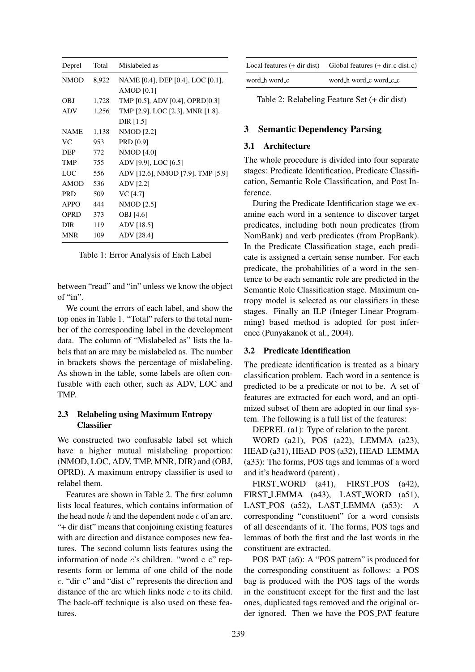| Deprel      | Total | Mislabeled as                     |
|-------------|-------|-----------------------------------|
| <b>NMOD</b> | 8,922 | NAME [0.4], DEP [0.4], LOC [0.1], |
|             |       | $AMOD$ [0.1]                      |
| OBJ         | 1,728 | TMP [0.5], ADV [0.4], OPRD[0.3]   |
| <b>ADV</b>  | 1,256 | TMP [2.9], LOC [2.3], MNR [1.8],  |
|             |       | DIR [1.5]                         |
| <b>NAME</b> | 1,138 | <b>NMOD</b> [2.2]                 |
| VC.         | 953   | <b>PRD</b> [0.9]                  |
| <b>DEP</b>  | 772   | <b>NMOD</b> [4.0]                 |
| TMP         | 755   | ADV [9.9], LOC [6.5]              |
| LOC         | 556   | ADV [12.6], NMOD [7.9], TMP [5.9] |
| <b>AMOD</b> | 536   | ADV [2.2]                         |
| <b>PRD</b>  | 509   | VC [4.7]                          |
| APPO        | 444   | NMOD [2.5]                        |
| OPRD        | 373   | OBJ [4.6]                         |
| <b>DIR</b>  | 119   | ADV [18.5]                        |
| <b>MNR</b>  | 109   | ADV [28.4]                        |

Table 1: Error Analysis of Each Label

between "read" and "in" unless we know the object of "in".

We count the errors of each label, and show the top ones in Table 1. "Total" refers to the total number of the corresponding label in the development data. The column of "Mislabeled as" lists the labels that an arc may be mislabeled as. The number in brackets shows the percentage of mislabeling. As shown in the table, some labels are often confusable with each other, such as ADV, LOC and TMP.

### 2.3 Relabeling using Maximum Entropy **Classifier**

We constructed two confusable label set which have a higher mutual mislabeling proportion: (NMOD, LOC, ADV, TMP, MNR, DIR) and (OBJ, OPRD). A maximum entropy classifier is used to relabel them.

Features are shown in Table 2. The first column lists local features, which contains information of the head node  $h$  and the dependent node  $c$  of an arc. "+ dir dist" means that conjoining existing features with arc direction and distance composes new features. The second column lists features using the information of node  $c$ 's children. "word  $cc$  c" represents form or lemma of one child of the node c. "dir c" and "dist c" represents the direction and distance of the arc which links node  $c$  to its child. The back-off technique is also used on these features.

|               | Local features $(+$ dir dist) Global features $(+$ dir $\ c$ dist $\ c)$ |
|---------------|--------------------------------------------------------------------------|
| word_h word_c | word_h word_c word_c_c                                                   |

Table 2: Relabeling Feature Set (+ dir dist)

# 3 Semantic Dependency Parsing

### 3.1 Architecture

The whole procedure is divided into four separate stages: Predicate Identification, Predicate Classification, Semantic Role Classification, and Post Inference.

During the Predicate Identification stage we examine each word in a sentence to discover target predicates, including both noun predicates (from NomBank) and verb predicates (from PropBank). In the Predicate Classification stage, each predicate is assigned a certain sense number. For each predicate, the probabilities of a word in the sentence to be each semantic role are predicted in the Semantic Role Classification stage. Maximum entropy model is selected as our classifiers in these stages. Finally an ILP (Integer Linear Programming) based method is adopted for post inference (Punyakanok et al., 2004).

# 3.2 Predicate Identification

The predicate identification is treated as a binary classification problem. Each word in a sentence is predicted to be a predicate or not to be. A set of features are extracted for each word, and an optimized subset of them are adopted in our final system. The following is a full list of the features:

DEPREL (a1): Type of relation to the parent.

WORD (a21), POS (a22), LEMMA (a23), HEAD (a31), HEAD POS (a32), HEAD LEMMA (a33): The forms, POS tags and lemmas of a word and it's headword (parent) .

FIRST\_WORD (a41), FIRST\_POS (a42), FIRST\_LEMMA (a43), LAST\_WORD (a51), LAST\_POS (a52), LAST\_LEMMA (a53): A corresponding "constituent" for a word consists of all descendants of it. The forms, POS tags and lemmas of both the first and the last words in the constituent are extracted.

POS PAT (a6): A "POS pattern" is produced for the corresponding constituent as follows: a POS bag is produced with the POS tags of the words in the constituent except for the first and the last ones, duplicated tags removed and the original order ignored. Then we have the POS PAT feature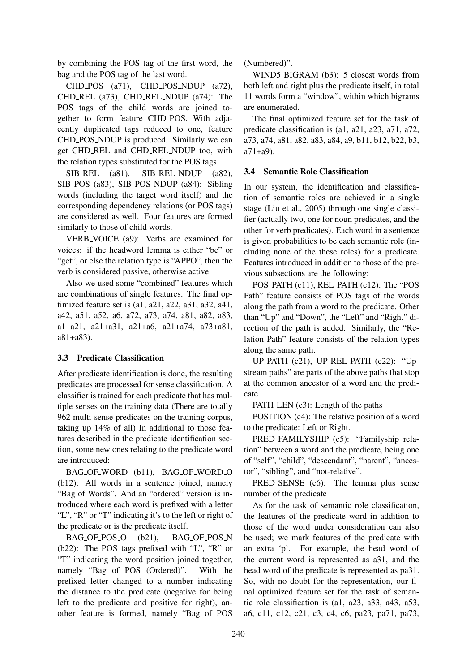by combining the POS tag of the first word, the bag and the POS tag of the last word.

CHD\_POS (a71), CHD\_POS\_NDUP (a72), CHD REL (a73), CHD REL NDUP (a74): The POS tags of the child words are joined together to form feature CHD POS. With adjacently duplicated tags reduced to one, feature CHD POS NDUP is produced. Similarly we can get CHD REL and CHD REL NDUP too, with the relation types substituted for the POS tags.

SIB\_REL (a81), SIB\_REL\_NDUP (a82), SIB POS (a83), SIB POS NDUP (a84): Sibling words (including the target word itself) and the corresponding dependency relations (or POS tags) are considered as well. Four features are formed similarly to those of child words.

VERB VOICE (a9): Verbs are examined for voices: if the headword lemma is either "be" or "get", or else the relation type is "APPO", then the verb is considered passive, otherwise active.

Also we used some "combined" features which are combinations of single features. The final optimized feature set is (a1, a21, a22, a31, a32, a41, a42, a51, a52, a6, a72, a73, a74, a81, a82, a83, a1+a21, a21+a31, a21+a6, a21+a74, a73+a81, a81+a83).

# 3.3 Predicate Classification

After predicate identification is done, the resulting predicates are processed for sense classification. A classifier is trained for each predicate that has multiple senses on the training data (There are totally 962 multi-sense predicates on the training corpus, taking up 14% of all) In additional to those features described in the predicate identification section, some new ones relating to the predicate word are introduced:

BAG\_OF\_WORD (b11), BAG\_OF\_WORD\_O (b12): All words in a sentence joined, namely "Bag of Words". And an "ordered" version is introduced where each word is prefixed with a letter "L", "R" or "T" indicating it's to the left or right of the predicate or is the predicate itself.

BAG OF POS O (b21), BAG OF POS N (b22): The POS tags prefixed with "L", "R" or "T" indicating the word position joined together, namely "Bag of POS (Ordered)". With the prefixed letter changed to a number indicating the distance to the predicate (negative for being left to the predicate and positive for right), another feature is formed, namely "Bag of POS (Numbered)".

WIND5\_BIGRAM (b3): 5 closest words from both left and right plus the predicate itself, in total 11 words form a "window", within which bigrams are enumerated.

The final optimized feature set for the task of predicate classification is (a1, a21, a23, a71, a72, a73, a74, a81, a82, a83, a84, a9, b11, b12, b22, b3, a71+a9).

# 3.4 Semantic Role Classification

In our system, the identification and classification of semantic roles are achieved in a single stage (Liu et al., 2005) through one single classifier (actually two, one for noun predicates, and the other for verb predicates). Each word in a sentence is given probabilities to be each semantic role (including none of the these roles) for a predicate. Features introduced in addition to those of the previous subsections are the following:

POS PATH (c11), REL PATH (c12): The "POS Path" feature consists of POS tags of the words along the path from a word to the predicate. Other than "Up" and "Down", the "Left" and "Right" direction of the path is added. Similarly, the "Relation Path" feature consists of the relation types along the same path.

UP PATH (c21), UP REL PATH (c22): "Upstream paths" are parts of the above paths that stop at the common ancestor of a word and the predicate.

PATH LEN (c3): Length of the paths

POSITION (c4): The relative position of a word to the predicate: Left or Right.

PRED FAMILYSHIP (c5): "Familyship relation" between a word and the predicate, being one of "self", "child", "descendant", "parent", "ancestor", "sibling", and "not-relative".

PRED SENSE (c6): The lemma plus sense number of the predicate

As for the task of semantic role classification, the features of the predicate word in addition to those of the word under consideration can also be used; we mark features of the predicate with an extra 'p'. For example, the head word of the current word is represented as a31, and the head word of the predicate is represented as pa31. So, with no doubt for the representation, our final optimized feature set for the task of semantic role classification is (a1, a23, a33, a43, a53, a6, c11, c12, c21, c3, c4, c6, pa23, pa71, pa73,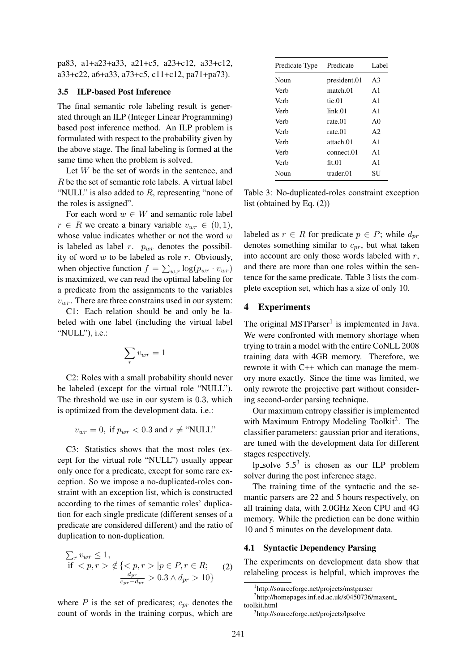pa83, a1+a23+a33, a21+c5, a23+c12, a33+c12, a33+c22, a6+a33, a73+c5, c11+c12, pa71+pa73).

### 3.5 ILP-based Post Inference

The final semantic role labeling result is generated through an ILP (Integer Linear Programming) based post inference method. An ILP problem is formulated with respect to the probability given by the above stage. The final labeling is formed at the same time when the problem is solved.

Let  $W$  be the set of words in the sentence, and R be the set of semantic role labels. A virtual label "NULL" is also added to  $R$ , representing "none of the roles is assigned".

For each word  $w \in W$  and semantic role label  $r \in R$  we create a binary variable  $v_{wr} \in (0, 1)$ , whose value indicates whether or not the word  $w$ is labeled as label  $r$ .  $p_{wr}$  denotes the possibility of word  $w$  to be labeled as role  $r$ . Obviously, when objective function  $f = \sum_{w,r} \log(p_{wr} \cdot v_{wr})$ is maximized, we can read the optimal labeling for a predicate from the assignments to the variables  $v_{wr}$ . There are three constrains used in our system:

C1: Each relation should be and only be labeled with one label (including the virtual label "NULL"), i.e.:

$$
\sum_r v_{wr} = 1
$$

C2: Roles with a small probability should never be labeled (except for the virtual role "NULL"). The threshold we use in our system is 0.3, which is optimized from the development data. i.e.:

$$
v_{wr} = 0, \text{ if } p_{wr} < 0.3 \text{ and } r \neq \text{``NULL''}
$$

C3: Statistics shows that the most roles (except for the virtual role "NULL") usually appear only once for a predicate, except for some rare exception. So we impose a no-duplicated-roles constraint with an exception list, which is constructed according to the times of semantic roles' duplication for each single predicate (different senses of a predicate are considered different) and the ratio of duplication to non-duplication.

$$
\sum_{r} v_{wr} \le 1,
$$
  
if  $\langle p, r \rangle \notin \{ \langle p, r \rangle | p \in P, r \in R; \text{ (2)}$   

$$
\frac{d_{pr}}{c_{pr} - d_{pr}} > 0.3 \land d_{pr} > 10 \}
$$

where  $P$  is the set of predicates;  $c_{pr}$  denotes the count of words in the training corpus, which are

| Predicate Type | Predicate    | Label          |
|----------------|--------------|----------------|
| Noun           | president.01 | A3             |
| Verb           | match.01     | A1             |
| Verb           | tie 01       | A1             |
| Verb           | link.01      | A <sub>1</sub> |
| Verb           | rate.01      | A <sub>0</sub> |
| Verb           | rate.01      | A2             |
| Verb           | attach 01    | $\mathsf{A}1$  |
| Verb           | connect.01   | $\mathsf{A}1$  |
| Verb           | fit.01       | $\mathsf{A}1$  |
| Noun           | trader.01    | SU             |

Table 3: No-duplicated-roles constraint exception list (obtained by Eq. (2))

labeled as  $r \in R$  for predicate  $p \in P$ ; while  $d_{pr}$ denotes something similar to  $c_{pr}$ , but what taken into account are only those words labeled with  $r$ , and there are more than one roles within the sentence for the same predicate. Table 3 lists the complete exception set, which has a size of only 10.

### 4 Experiments

The original MSTParser<sup>1</sup> is implemented in Java. We were confronted with memory shortage when trying to train a model with the entire CoNLL 2008 training data with 4GB memory. Therefore, we rewrote it with C++ which can manage the memory more exactly. Since the time was limited, we only rewrote the projective part without considering second-order parsing technique.

Our maximum entropy classifier is implemented with Maximum Entropy Modeling Toolkit<sup>2</sup>. The classifier parameters: gaussian prior and iterations, are tuned with the development data for different stages respectively.

lp\_solve  $5.5<sup>3</sup>$  is chosen as our ILP problem solver during the post inference stage.

The training time of the syntactic and the semantic parsers are 22 and 5 hours respectively, on all training data, with 2.0GHz Xeon CPU and 4G memory. While the prediction can be done within 10 and 5 minutes on the development data.

#### 4.1 Syntactic Dependency Parsing

The experiments on development data show that relabeling process is helpful, which improves the

<sup>1</sup> http://sourceforge.net/projects/mstparser

<sup>2</sup> http://homepages.inf.ed.ac.uk/s0450736/maxent toolkit.html

<sup>3</sup> http://sourceforge.net/projects/lpsolve